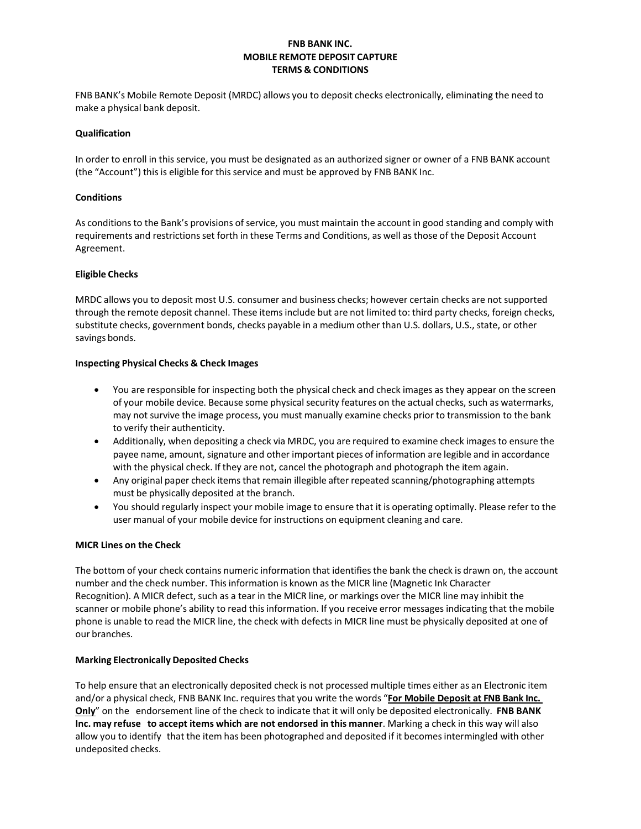# **FNB BANK INC. MOBILE REMOTE DEPOSIT CAPTURE TERMS & CONDITIONS**

FNB BANK's Mobile Remote Deposit (MRDC) allows you to deposit checks electronically, eliminating the need to make a physical bank deposit.

### **Qualification**

In order to enroll in this service, you must be designated as an authorized signer or owner of a FNB BANK account (the "Account") this is eligible for this service and must be approved by FNB BANK Inc.

# **Conditions**

As conditions to the Bank's provisions of service, you must maintain the account in good standing and comply with requirements and restrictionsset forth in these Terms and Conditions, as well asthose of the Deposit Account Agreement.

# **Eligible Checks**

MRDC allows you to deposit most U.S. consumer and business checks; however certain checks are not supported through the remote deposit channel. These itemsinclude but are not limited to: third party checks, foreign checks, substitute checks, government bonds, checks payable in a medium other than U.S. dollars, U.S., state, or other savings bonds.

# **Inspecting Physical Checks & Check Images**

- You are responsible for inspecting both the physical check and check images as they appear on the screen of your mobile device. Because some physical security features on the actual checks, such as watermarks, may not survive the image process, you must manually examine checks prior to transmission to the bank to verify their authenticity.
- Additionally, when depositing a check via MRDC, you are required to examine check images to ensure the payee name, amount, signature and other important pieces of information are legible and in accordance with the physical check. If they are not, cancel the photograph and photograph the item again.
- Any original paper check items that remain illegible after repeated scanning/photographing attempts must be physically deposited at the branch.
- You should regularly inspect your mobile image to ensure that it is operating optimally. Please refer to the user manual of your mobile device for instructions on equipment cleaning and care.

#### **MICR Lines on the Check**

The bottom of your check contains numeric information that identifiesthe bank the check is drawn on, the account number and the check number. Thisinformation is known asthe MICR line (Magnetic Ink Character Recognition). A MICR defect, such as a tear in the MICR line, or markings over the MICR line may inhibit the scanner or mobile phone's ability to read this information. If you receive error messages indicating that the mobile phone is unable to read the MICR line, the check with defects in MICR line must be physically deposited at one of our branches.

#### **Marking Electronically Deposited Checks**

To help ensure that an electronically deposited check is not processed multiple times either as an Electronic item and/or a physical check, FNB BANK Inc. requires that you write the words "**For Mobile Deposit at FNB Bank Inc. Only**" on the endorsement line of the check to indicate that it will only be deposited electronically. **FNB BANK Inc. may refuse to accept items which are not endorsed in this manner**. Marking a check in this way will also allow you to identify that the item has been photographed and deposited if it becomes intermingled with other undeposited checks.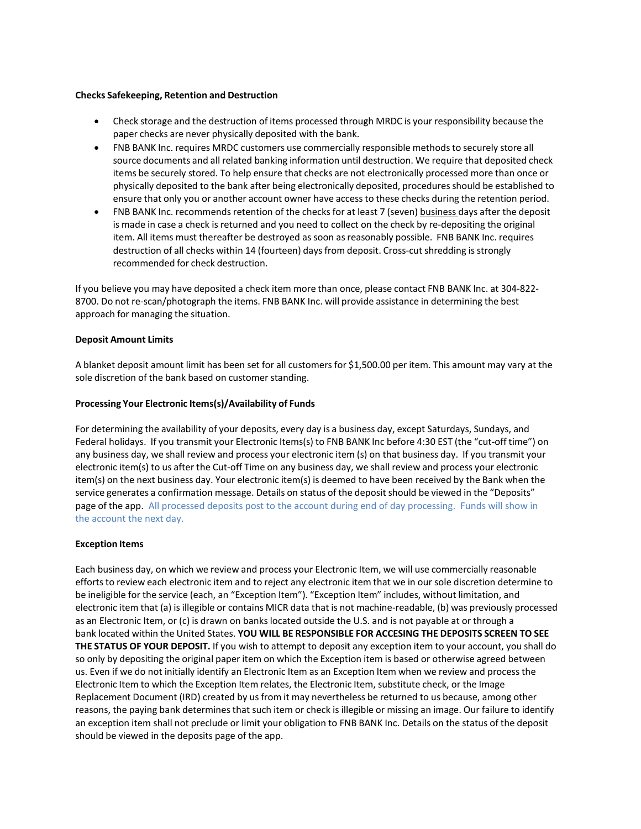### **Checks Safekeeping, Retention and Destruction**

- Check storage and the destruction of items processed through MRDC is your responsibility because the paper checks are never physically deposited with the bank.
- FNB BANK Inc. requires MRDC customers use commercially responsible methods to securely store all source documents and all related banking information until destruction. We require that deposited check items be securely stored. To help ensure that checks are not electronically processed more than once or physically deposited to the bank after being electronically deposited, proceduresshould be established to ensure that only you or another account owner have access to these checks during the retention period.
- FNB BANK Inc. recommends retention of the checks for at least 7 (seven) business days after the deposit is made in case a check is returned and you need to collect on the check by re-depositing the original item. All items must thereafter be destroyed as soon asreasonably possible. FNB BANK Inc. requires destruction of all checks within 14 (fourteen) days from deposit. Cross-cut shredding is strongly recommended for check destruction.

If you believe you may have deposited a check item more than once, please contact FNB BANK Inc. at 304-822- 8700. Do not re-scan/photograph the items. FNB BANK Inc. will provide assistance in determining the best approach for managing the situation.

# **Deposit Amount Limits**

A blanket deposit amount limit has been set for all customers for \$1,500.00 per item. This amount may vary at the sole discretion of the bank based on customer standing.

# **Processing Your Electronic Items(s)/Availability of Funds**

For determining the availability of your deposits, every day is a business day, except Saturdays, Sundays, and Federal holidays. If you transmit your Electronic Items(s) to FNB BANK Inc before 4:30 EST (the "cut-off time") on any business day, we shall review and process your electronic item (s) on that business day. If you transmit your electronic item(s) to us after the Cut-off Time on any business day, we shall review and process your electronic item(s) on the next business day. Your electronic item(s) is deemed to have been received by the Bank when the service generates a confirmation message. Details on status of the deposit should be viewed in the "Deposits" page of the app. All processed deposits post to the account during end of day processing. Funds will show in the account the next day.

#### **Exception Items**

Each business day, on which we review and process your Electronic Item, we will use commercially reasonable efforts to review each electronic item and to reject any electronic item that we in our sole discretion determine to be ineligible for the service (each, an "Exception Item"). "Exception Item" includes, without limitation, and electronic item that (a) isillegible or contains MICR data that is not machine-readable, (b) was previously processed as an Electronic Item, or (c) is drawn on banks located outside the U.S. and is not payable at or through a bank located within the United States. **YOU WILL BE RESPONSIBLE FOR ACCESING THE DEPOSITS SCREEN TO SEE THE STATUS OF YOUR DEPOSIT.** If you wish to attempt to deposit any exception item to your account, you shall do so only by depositing the original paper item on which the Exception item is based or otherwise agreed between us. Even if we do not initially identify an Electronic Item as an Exception Item when we review and process the Electronic Item to which the Exception Item relates, the Electronic Item, substitute check, or the Image Replacement Document (IRD) created by us from it may nevertheless be returned to us because, among other reasons, the paying bank determines that such item or check is illegible or missing an image. Our failure to identify an exception item shall not preclude or limit your obligation to FNB BANK Inc. Details on the status of the deposit should be viewed in the deposits page of the app.